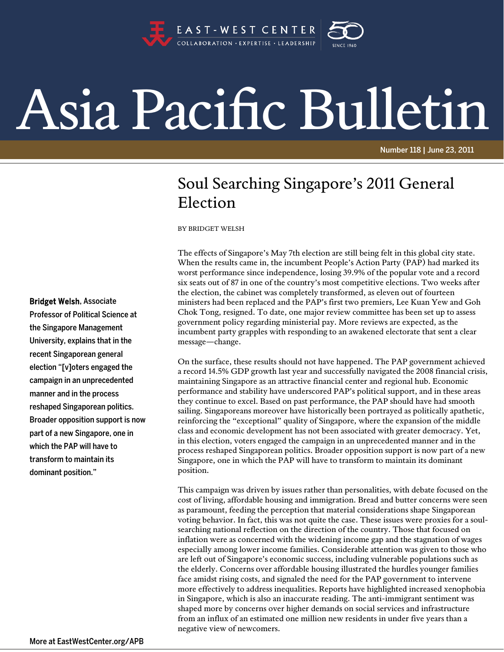

## Asia Pacific Bulletin

Number 118 | June 23, 2011

## Soul Searching Singapore's 2011 General Election

BY BRIDGET WELSH

The effects of Singapore's May 7th election are still being felt in this global city state. When the results came in, the incumbent People's Action Party (PAP) had marked its worst performance since independence, losing 39.9% of the popular vote and a record six seats out of 87 in one of the country's most competitive elections. Two weeks after the election, the cabinet was completely transformed, as eleven out of fourteen ministers had been replaced and the PAP's first two premiers, Lee Kuan Yew and Goh Chok Tong, resigned. To date, one major review committee has been set up to assess government policy regarding ministerial pay. More reviews are expected, as the incumbent party grapples with responding to an awakened electorate that sent a clear message—change.

On the surface, these results should not have happened. The PAP government achieved a record 14.5% GDP growth last year and successfully navigated the 2008 financial crisis, maintaining Singapore as an attractive financial center and regional hub. Economic performance and stability have underscored PAP's political support, and in these areas they continue to excel. Based on past performance, the PAP should have had smooth sailing. Singaporeans moreover have historically been portrayed as politically apathetic, reinforcing the "exceptional" quality of Singapore, where the expansion of the middle class and economic development has not been associated with greater democracy. Yet, in this election, voters engaged the campaign in an unprecedented manner and in the process reshaped Singaporean politics. Broader opposition support is now part of a new Singapore, one in which the PAP will have to transform to maintain its dominant position.

This campaign was driven by issues rather than personalities, with debate focused on the cost of living, affordable housing and immigration. Bread and butter concerns were seen as paramount, feeding the perception that material considerations shape Singaporean voting behavior. In fact, this was not quite the case. These issues were proxies for a soulsearching national reflection on the direction of the country. Those that focused on inflation were as concerned with the widening income gap and the stagnation of wages especially among lower income families. Considerable attention was given to those who are left out of Singapore's economic success, including vulnerable populations such as the elderly. Concerns over affordable housing illustrated the hurdles younger families face amidst rising costs, and signaled the need for the PAP government to intervene more effectively to address inequalities. Reports have highlighted increased xenophobia in Singapore, which is also an inaccurate reading. The anti-immigrant sentiment was shaped more by concerns over higher demands on social services and infrastructure from an influx of an estimated one million new residents in under five years than a negative view of newcomers.

Bridget Welsh, Associate

Professor of Political Science at the Singapore Management University, explains that in the recent Singaporean general election "[v]oters engaged the campaign in an unprecedented manner and in the process reshaped Singaporean politics. Broader opposition support is now part of a new Singapore, one in which the PAP will have to transform to maintain its dominant position."